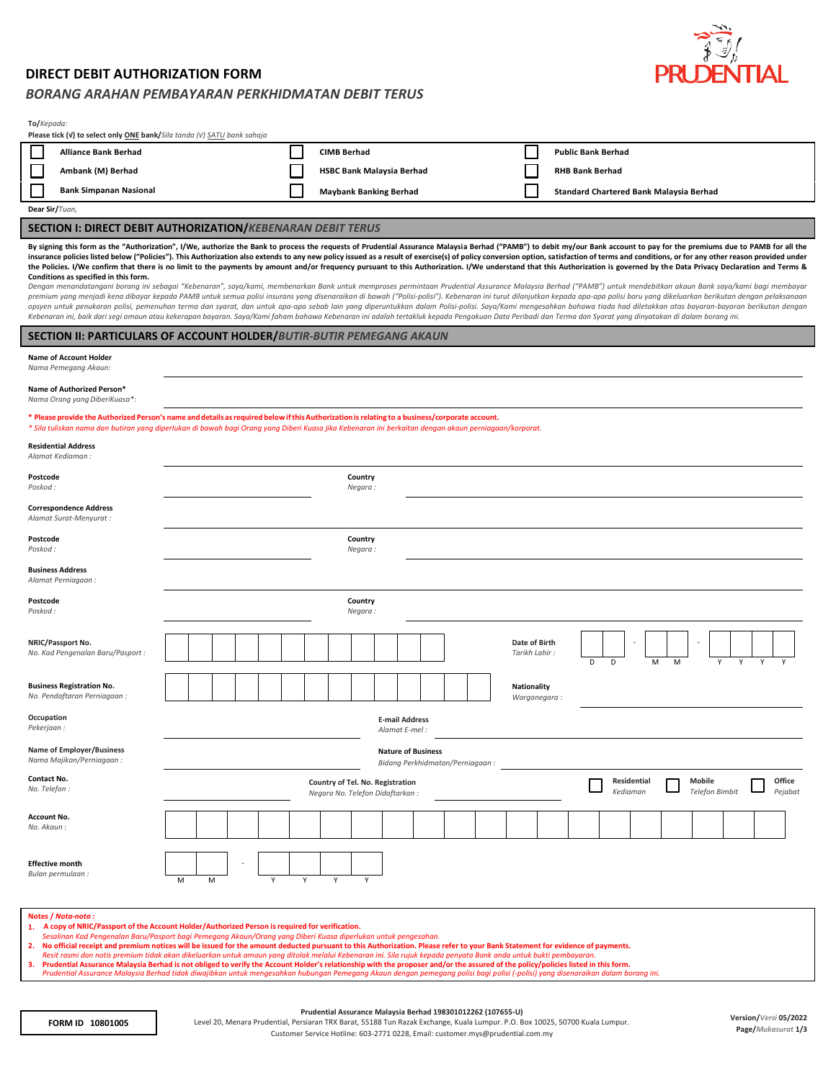## **DIRECT DEBIT AUTHORIZATION FORM**

## *BORANG ARAHAN PEMBAYARAN PERKHIDMATAN DEBIT TERUS*

| $\frac{1}{2}$ |
|---------------|
| PRUDENTIAL    |

| To/Kepada:<br>Please tick (v) to select only ONE bank/Sila tanda (v) SATU bank sahaja                                                                                                                                                                                                                                                                                                                                                                                                                                                                                                                                                                                                                                                                                                                                                                                                                                                                                                                                                                                                                                                                                                                                                                                                                                                                                                                                                                                                                                                                                                                                                |                                                                                                                                                        |   |  |   |   |  |                               |                    |  |                                  |  |  |  |                                |                                                |   |   |   |   |   |   |   |  |
|--------------------------------------------------------------------------------------------------------------------------------------------------------------------------------------------------------------------------------------------------------------------------------------------------------------------------------------------------------------------------------------------------------------------------------------------------------------------------------------------------------------------------------------------------------------------------------------------------------------------------------------------------------------------------------------------------------------------------------------------------------------------------------------------------------------------------------------------------------------------------------------------------------------------------------------------------------------------------------------------------------------------------------------------------------------------------------------------------------------------------------------------------------------------------------------------------------------------------------------------------------------------------------------------------------------------------------------------------------------------------------------------------------------------------------------------------------------------------------------------------------------------------------------------------------------------------------------------------------------------------------------|--------------------------------------------------------------------------------------------------------------------------------------------------------|---|--|---|---|--|-------------------------------|--------------------|--|----------------------------------|--|--|--|--------------------------------|------------------------------------------------|---|---|---|---|---|---|---|--|
| <b>Alliance Bank Berhad</b>                                                                                                                                                                                                                                                                                                                                                                                                                                                                                                                                                                                                                                                                                                                                                                                                                                                                                                                                                                                                                                                                                                                                                                                                                                                                                                                                                                                                                                                                                                                                                                                                          |                                                                                                                                                        |   |  |   |   |  | <b>CIMB Berhad</b>            |                    |  |                                  |  |  |  |                                | <b>Public Bank Berhad</b>                      |   |   |   |   |   |   |   |  |
| ⊑<br>Ambank (M) Berhad                                                                                                                                                                                                                                                                                                                                                                                                                                                                                                                                                                                                                                                                                                                                                                                                                                                                                                                                                                                                                                                                                                                                                                                                                                                                                                                                                                                                                                                                                                                                                                                                               |                                                                                                                                                        |   |  |   |   |  |                               |                    |  | <b>HSBC Bank Malaysia Berhad</b> |  |  |  |                                | <b>RHB Bank Berhad</b>                         |   |   |   |   |   |   |   |  |
| <b>Bank Simpanan Nasional</b>                                                                                                                                                                                                                                                                                                                                                                                                                                                                                                                                                                                                                                                                                                                                                                                                                                                                                                                                                                                                                                                                                                                                                                                                                                                                                                                                                                                                                                                                                                                                                                                                        |                                                                                                                                                        |   |  |   |   |  | <b>Maybank Banking Berhad</b> |                    |  |                                  |  |  |  |                                | <b>Standard Chartered Bank Malaysia Berhad</b> |   |   |   |   |   |   |   |  |
| Dear Sir/Tuan,                                                                                                                                                                                                                                                                                                                                                                                                                                                                                                                                                                                                                                                                                                                                                                                                                                                                                                                                                                                                                                                                                                                                                                                                                                                                                                                                                                                                                                                                                                                                                                                                                       |                                                                                                                                                        |   |  |   |   |  |                               |                    |  |                                  |  |  |  |                                |                                                |   |   |   |   |   |   |   |  |
| <b>SECTION I: DIRECT DEBIT AUTHORIZATION/KEBENARAN DEBIT TERUS</b>                                                                                                                                                                                                                                                                                                                                                                                                                                                                                                                                                                                                                                                                                                                                                                                                                                                                                                                                                                                                                                                                                                                                                                                                                                                                                                                                                                                                                                                                                                                                                                   |                                                                                                                                                        |   |  |   |   |  |                               |                    |  |                                  |  |  |  |                                |                                                |   |   |   |   |   |   |   |  |
| By signing this form as the "Authorization", I/We, authorize the Bank to process the requests of Prudential Assurance Malaysia Berhad ("PAMB") to debit my/our Bank account to pay for the premiums due to PAMB for all the<br>insurance policies listed below ("Policies"). This Authorization also extends to any new policy issued as a result of exercise(s) of policy conversion option, satisfaction of terms and conditions, or for any other reason p<br>the Policies. I/We confirm that there is no limit to the payments by amount and/or frequency pursuant to this Authorization. I/We understand that this Authorization is governed by the Data Privacy Declaration and Terms &<br>Conditions as specified in this form.<br>Dengan menandatangani borang ini sebagai "Kebenaran", saya/kami, membenarkan Bank untuk memproses permintaan Prudential Assurance Malaysia Berhad ("PAMB") untuk mendebitkan akaun Bank saya/kami bagi membayar<br>premium yang menjadi kena dibayar kepada PAMB untuk semua polisi insurans yang disenaraikan di bawah ("Polisi-polisi"). Kebenaran ini turut dilanjutkan kepada apa-apa polisi baru yang dikeluarkan berikutan dengan pelaksana<br>opsyen untuk penukaran polisi, pemenuhan terma dan syarat, dan untuk apa-apa sebab lain yang diperuntukkan dalam Polisi-polisi. Saya/Kami mengesahkan bahawa tiada had diletakkan atas bayaran-bayaran berikutan dengan<br>Kebenaran ini, baik dari segi amaun atau kekerapan bayaran. Saya/Kami faham bahawa Kebenaran ini adalah tertakluk kepada Pengakuan Data Peribadi dan Terma dan Syarat yang dinyatakan di dalam borang ini. |                                                                                                                                                        |   |  |   |   |  |                               |                    |  |                                  |  |  |  |                                |                                                |   |   |   |   |   |   |   |  |
| <b>SECTION II: PARTICULARS OF ACCOUNT HOLDER/BUTIR-BUTIR PEMEGANG AKAUN</b>                                                                                                                                                                                                                                                                                                                                                                                                                                                                                                                                                                                                                                                                                                                                                                                                                                                                                                                                                                                                                                                                                                                                                                                                                                                                                                                                                                                                                                                                                                                                                          |                                                                                                                                                        |   |  |   |   |  |                               |                    |  |                                  |  |  |  |                                |                                                |   |   |   |   |   |   |   |  |
| <b>Name of Account Holder</b><br>Nama Pemegang Akaun:                                                                                                                                                                                                                                                                                                                                                                                                                                                                                                                                                                                                                                                                                                                                                                                                                                                                                                                                                                                                                                                                                                                                                                                                                                                                                                                                                                                                                                                                                                                                                                                |                                                                                                                                                        |   |  |   |   |  |                               |                    |  |                                  |  |  |  |                                |                                                |   |   |   |   |   |   |   |  |
| Name of Authorized Person*<br>Nama Orang yang DiberiKuasa*:                                                                                                                                                                                                                                                                                                                                                                                                                                                                                                                                                                                                                                                                                                                                                                                                                                                                                                                                                                                                                                                                                                                                                                                                                                                                                                                                                                                                                                                                                                                                                                          |                                                                                                                                                        |   |  |   |   |  |                               |                    |  |                                  |  |  |  |                                |                                                |   |   |   |   |   |   |   |  |
| * Please provide the Authorized Person's name and details as required below if this Authorization is relating to a business/corporate account.<br>* Sila tuliskan nama dan butiran yang diperlukan di bawah bagi Orang yang Diberi Kuasa jika Kebenaran ini berkaitan dengan akaun perniagaan/korporat.                                                                                                                                                                                                                                                                                                                                                                                                                                                                                                                                                                                                                                                                                                                                                                                                                                                                                                                                                                                                                                                                                                                                                                                                                                                                                                                              |                                                                                                                                                        |   |  |   |   |  |                               |                    |  |                                  |  |  |  |                                |                                                |   |   |   |   |   |   |   |  |
| <b>Residential Address</b><br>Alamat Kediaman:                                                                                                                                                                                                                                                                                                                                                                                                                                                                                                                                                                                                                                                                                                                                                                                                                                                                                                                                                                                                                                                                                                                                                                                                                                                                                                                                                                                                                                                                                                                                                                                       |                                                                                                                                                        |   |  |   |   |  |                               |                    |  |                                  |  |  |  |                                |                                                |   |   |   |   |   |   |   |  |
| Postcode<br>Poskod:                                                                                                                                                                                                                                                                                                                                                                                                                                                                                                                                                                                                                                                                                                                                                                                                                                                                                                                                                                                                                                                                                                                                                                                                                                                                                                                                                                                                                                                                                                                                                                                                                  |                                                                                                                                                        |   |  |   |   |  |                               | Country<br>Negara: |  |                                  |  |  |  |                                |                                                |   |   |   |   |   |   |   |  |
| <b>Correspondence Address</b><br>Alamat Surat-Menyurat :                                                                                                                                                                                                                                                                                                                                                                                                                                                                                                                                                                                                                                                                                                                                                                                                                                                                                                                                                                                                                                                                                                                                                                                                                                                                                                                                                                                                                                                                                                                                                                             |                                                                                                                                                        |   |  |   |   |  |                               |                    |  |                                  |  |  |  |                                |                                                |   |   |   |   |   |   |   |  |
| Postcode<br>Poskod :                                                                                                                                                                                                                                                                                                                                                                                                                                                                                                                                                                                                                                                                                                                                                                                                                                                                                                                                                                                                                                                                                                                                                                                                                                                                                                                                                                                                                                                                                                                                                                                                                 |                                                                                                                                                        |   |  |   |   |  |                               | Country<br>Negara: |  |                                  |  |  |  |                                |                                                |   |   |   |   |   |   |   |  |
| <b>Business Address</b><br>Alamat Perniagaan:                                                                                                                                                                                                                                                                                                                                                                                                                                                                                                                                                                                                                                                                                                                                                                                                                                                                                                                                                                                                                                                                                                                                                                                                                                                                                                                                                                                                                                                                                                                                                                                        |                                                                                                                                                        |   |  |   |   |  |                               |                    |  |                                  |  |  |  |                                |                                                |   |   |   |   |   |   |   |  |
| Postcode<br>Poskod:                                                                                                                                                                                                                                                                                                                                                                                                                                                                                                                                                                                                                                                                                                                                                                                                                                                                                                                                                                                                                                                                                                                                                                                                                                                                                                                                                                                                                                                                                                                                                                                                                  |                                                                                                                                                        |   |  |   |   |  |                               | Country<br>Negara: |  |                                  |  |  |  |                                |                                                |   |   |   |   |   |   |   |  |
| NRIC/Passport No.<br>No. Kad Pengenalan Baru/Pasport :                                                                                                                                                                                                                                                                                                                                                                                                                                                                                                                                                                                                                                                                                                                                                                                                                                                                                                                                                                                                                                                                                                                                                                                                                                                                                                                                                                                                                                                                                                                                                                               |                                                                                                                                                        |   |  |   |   |  |                               |                    |  |                                  |  |  |  | Date of Birth<br>Tarikh Lahir: |                                                | D | D | M | м | Υ | Y | Y |  |
| <b>Business Registration No.</b><br>No. Pendaftaran Perniagaan:                                                                                                                                                                                                                                                                                                                                                                                                                                                                                                                                                                                                                                                                                                                                                                                                                                                                                                                                                                                                                                                                                                                                                                                                                                                                                                                                                                                                                                                                                                                                                                      |                                                                                                                                                        |   |  |   |   |  |                               |                    |  |                                  |  |  |  | Nationality                    | Warganegara:                                   |   |   |   |   |   |   |   |  |
| Occupation<br><b>E-mail Address</b><br>Pekerjaan :<br>Alamat E-mel                                                                                                                                                                                                                                                                                                                                                                                                                                                                                                                                                                                                                                                                                                                                                                                                                                                                                                                                                                                                                                                                                                                                                                                                                                                                                                                                                                                                                                                                                                                                                                   |                                                                                                                                                        |   |  |   |   |  |                               |                    |  |                                  |  |  |  |                                |                                                |   |   |   |   |   |   |   |  |
| <b>Name of Employer/Business</b><br><b>Nature of Business</b><br>Nama Majikan/Perniagaan:<br>Bidang Perkhidmatan/Perniagaan:                                                                                                                                                                                                                                                                                                                                                                                                                                                                                                                                                                                                                                                                                                                                                                                                                                                                                                                                                                                                                                                                                                                                                                                                                                                                                                                                                                                                                                                                                                         |                                                                                                                                                        |   |  |   |   |  |                               |                    |  |                                  |  |  |  |                                |                                                |   |   |   |   |   |   |   |  |
| Contact No.<br>No. Telefon :                                                                                                                                                                                                                                                                                                                                                                                                                                                                                                                                                                                                                                                                                                                                                                                                                                                                                                                                                                                                                                                                                                                                                                                                                                                                                                                                                                                                                                                                                                                                                                                                         | Residential<br>Mobile<br>Office<br>Country of Tel. No. Registration<br><b>Telefon Bimbit</b><br>Kediaman<br>Pejabat<br>Negara No. Telefon Didaftarkan: |   |  |   |   |  |                               |                    |  |                                  |  |  |  |                                |                                                |   |   |   |   |   |   |   |  |
| Account No.<br>No. Akaun:                                                                                                                                                                                                                                                                                                                                                                                                                                                                                                                                                                                                                                                                                                                                                                                                                                                                                                                                                                                                                                                                                                                                                                                                                                                                                                                                                                                                                                                                                                                                                                                                            |                                                                                                                                                        |   |  |   |   |  |                               |                    |  |                                  |  |  |  |                                |                                                |   |   |   |   |   |   |   |  |
| <b>Effective month</b><br>Bulan permulaan :                                                                                                                                                                                                                                                                                                                                                                                                                                                                                                                                                                                                                                                                                                                                                                                                                                                                                                                                                                                                                                                                                                                                                                                                                                                                                                                                                                                                                                                                                                                                                                                          | М                                                                                                                                                      | M |  | Y | Υ |  | Υ                             | Υ                  |  |                                  |  |  |  |                                |                                                |   |   |   |   |   |   |   |  |
| Notes / Nota-nota :<br>1. A copy of NRIC/Passport of the Account Holder/Authorized Person is required for verification.<br>Sesalinan Kad Pengenalan Baru/Pasport bagi Pemegang Akaun/Orang yang Diberi Kuasa diperlukan untuk pengesahan.                                                                                                                                                                                                                                                                                                                                                                                                                                                                                                                                                                                                                                                                                                                                                                                                                                                                                                                                                                                                                                                                                                                                                                                                                                                                                                                                                                                            |                                                                                                                                                        |   |  |   |   |  |                               |                    |  |                                  |  |  |  |                                |                                                |   |   |   |   |   |   |   |  |

- 
- 

Sesalinan Kad Pengenalan Baru/Pasport bagi Pemegang Akaun/Orang yang Diberi Kuasa diperlukan untuk pengesahan.<br>2. No official receipt and premium notices will be issued for the amount deducted pursuant to this Authorizatio

## **Prudential Assurance Malaysia Berhad 198301012262 (107655-U)**

Level 20, Menara Prudential, Persiaran TRX Barat, 55188 Tun Razak Exchange, Kuala Lumpur. P.O. Box 10025, 50700 Kuala Lumpur. **Page/***Mukasurat* **1/3 FORM ID 10801005**Customer Service Hotline: 603-2771 0228, Email[: customer.mys@prudential.com.my](mailto:customer.mys@prudential.com.my)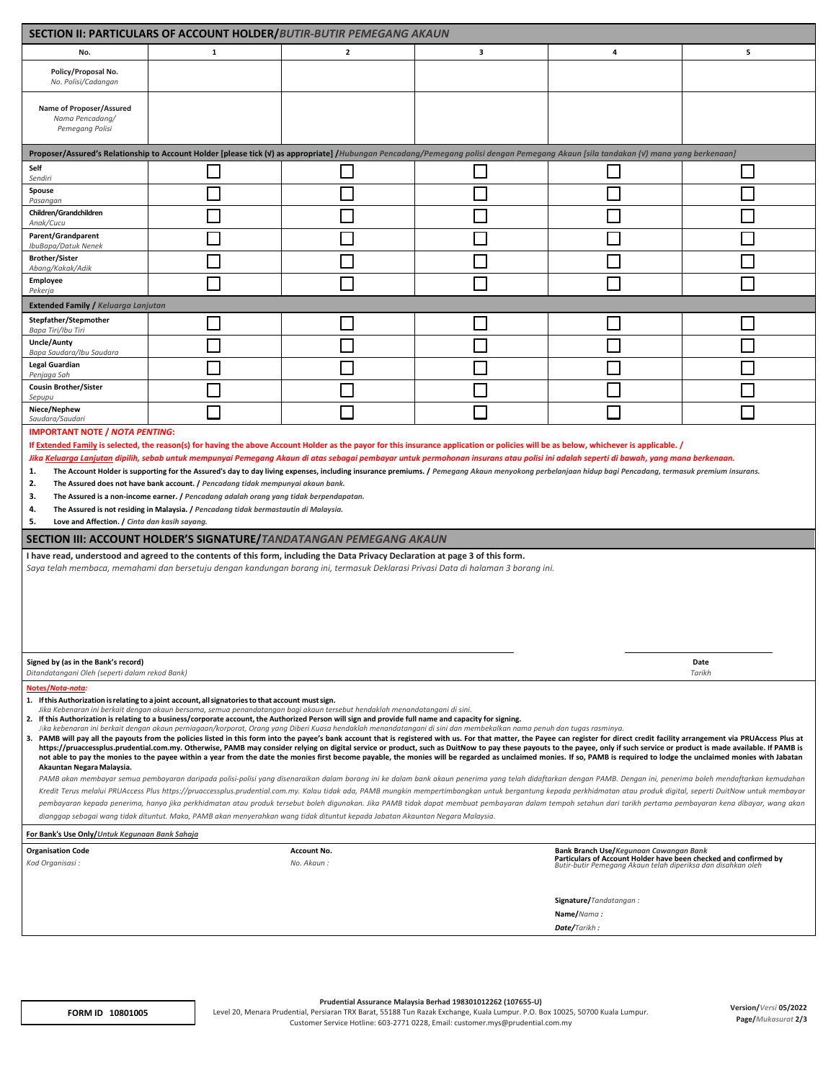| <b>SECTION II: PARTICULARS OF ACCOUNT HOLDER/BUTIR-BUTIR PEMEGANG AKAUN</b>                                                                                                                                                                                                                                                                                                                                                                                                                                                                                                                                                                                                                                                                                                                                                                                                                                                                                                                                                                                                                                                                                                                                                                                                                                                                                                                                                                                                                                                                                                                                                                                                                                                                                                                                                                                                                                                                                                                                                                                                                                       |                                                                                                                                                                                      |                                  |   |                                                                                                                                                                            |   |  |  |  |  |  |
|-------------------------------------------------------------------------------------------------------------------------------------------------------------------------------------------------------------------------------------------------------------------------------------------------------------------------------------------------------------------------------------------------------------------------------------------------------------------------------------------------------------------------------------------------------------------------------------------------------------------------------------------------------------------------------------------------------------------------------------------------------------------------------------------------------------------------------------------------------------------------------------------------------------------------------------------------------------------------------------------------------------------------------------------------------------------------------------------------------------------------------------------------------------------------------------------------------------------------------------------------------------------------------------------------------------------------------------------------------------------------------------------------------------------------------------------------------------------------------------------------------------------------------------------------------------------------------------------------------------------------------------------------------------------------------------------------------------------------------------------------------------------------------------------------------------------------------------------------------------------------------------------------------------------------------------------------------------------------------------------------------------------------------------------------------------------------------------------------------------------|--------------------------------------------------------------------------------------------------------------------------------------------------------------------------------------|----------------------------------|---|----------------------------------------------------------------------------------------------------------------------------------------------------------------------------|---|--|--|--|--|--|
| No.                                                                                                                                                                                                                                                                                                                                                                                                                                                                                                                                                                                                                                                                                                                                                                                                                                                                                                                                                                                                                                                                                                                                                                                                                                                                                                                                                                                                                                                                                                                                                                                                                                                                                                                                                                                                                                                                                                                                                                                                                                                                                                               | 1                                                                                                                                                                                    | $\overline{\mathbf{2}}$          | 3 | 4                                                                                                                                                                          | 5 |  |  |  |  |  |
| Policy/Proposal No.<br>No. Polisi/Cadangan                                                                                                                                                                                                                                                                                                                                                                                                                                                                                                                                                                                                                                                                                                                                                                                                                                                                                                                                                                                                                                                                                                                                                                                                                                                                                                                                                                                                                                                                                                                                                                                                                                                                                                                                                                                                                                                                                                                                                                                                                                                                        |                                                                                                                                                                                      |                                  |   |                                                                                                                                                                            |   |  |  |  |  |  |
| Name of Proposer/Assured<br>Nama Pencadang/<br>Pemegang Polisi                                                                                                                                                                                                                                                                                                                                                                                                                                                                                                                                                                                                                                                                                                                                                                                                                                                                                                                                                                                                                                                                                                                                                                                                                                                                                                                                                                                                                                                                                                                                                                                                                                                                                                                                                                                                                                                                                                                                                                                                                                                    |                                                                                                                                                                                      |                                  |   |                                                                                                                                                                            |   |  |  |  |  |  |
|                                                                                                                                                                                                                                                                                                                                                                                                                                                                                                                                                                                                                                                                                                                                                                                                                                                                                                                                                                                                                                                                                                                                                                                                                                                                                                                                                                                                                                                                                                                                                                                                                                                                                                                                                                                                                                                                                                                                                                                                                                                                                                                   | Proposer/Assured's Relationship to Account Holder [please tick (v) as appropriate] /Hubungan Pencadang/Pemegang polisi dengan Pemegang Akaun [sila tandakan (v) mana yang berkenaan] |                                  |   |                                                                                                                                                                            |   |  |  |  |  |  |
| Self<br>Sendiri                                                                                                                                                                                                                                                                                                                                                                                                                                                                                                                                                                                                                                                                                                                                                                                                                                                                                                                                                                                                                                                                                                                                                                                                                                                                                                                                                                                                                                                                                                                                                                                                                                                                                                                                                                                                                                                                                                                                                                                                                                                                                                   |                                                                                                                                                                                      |                                  |   |                                                                                                                                                                            |   |  |  |  |  |  |
| Spouse<br>Pasangan                                                                                                                                                                                                                                                                                                                                                                                                                                                                                                                                                                                                                                                                                                                                                                                                                                                                                                                                                                                                                                                                                                                                                                                                                                                                                                                                                                                                                                                                                                                                                                                                                                                                                                                                                                                                                                                                                                                                                                                                                                                                                                |                                                                                                                                                                                      |                                  |   |                                                                                                                                                                            |   |  |  |  |  |  |
| Children/Grandchildren<br>Anak/Cucu                                                                                                                                                                                                                                                                                                                                                                                                                                                                                                                                                                                                                                                                                                                                                                                                                                                                                                                                                                                                                                                                                                                                                                                                                                                                                                                                                                                                                                                                                                                                                                                                                                                                                                                                                                                                                                                                                                                                                                                                                                                                               |                                                                                                                                                                                      |                                  |   |                                                                                                                                                                            |   |  |  |  |  |  |
| Parent/Grandparent<br>IbuBapa/Datuk Nenek                                                                                                                                                                                                                                                                                                                                                                                                                                                                                                                                                                                                                                                                                                                                                                                                                                                                                                                                                                                                                                                                                                                                                                                                                                                                                                                                                                                                                                                                                                                                                                                                                                                                                                                                                                                                                                                                                                                                                                                                                                                                         |                                                                                                                                                                                      |                                  |   |                                                                                                                                                                            |   |  |  |  |  |  |
| <b>Brother/Sister</b><br>Abang/Kakak/Adik                                                                                                                                                                                                                                                                                                                                                                                                                                                                                                                                                                                                                                                                                                                                                                                                                                                                                                                                                                                                                                                                                                                                                                                                                                                                                                                                                                                                                                                                                                                                                                                                                                                                                                                                                                                                                                                                                                                                                                                                                                                                         |                                                                                                                                                                                      |                                  |   |                                                                                                                                                                            |   |  |  |  |  |  |
| Employee<br>Pekerja                                                                                                                                                                                                                                                                                                                                                                                                                                                                                                                                                                                                                                                                                                                                                                                                                                                                                                                                                                                                                                                                                                                                                                                                                                                                                                                                                                                                                                                                                                                                                                                                                                                                                                                                                                                                                                                                                                                                                                                                                                                                                               |                                                                                                                                                                                      |                                  |   |                                                                                                                                                                            |   |  |  |  |  |  |
| <b>Extended Family / Keluarga Lanjutan</b>                                                                                                                                                                                                                                                                                                                                                                                                                                                                                                                                                                                                                                                                                                                                                                                                                                                                                                                                                                                                                                                                                                                                                                                                                                                                                                                                                                                                                                                                                                                                                                                                                                                                                                                                                                                                                                                                                                                                                                                                                                                                        |                                                                                                                                                                                      |                                  |   |                                                                                                                                                                            |   |  |  |  |  |  |
| Stepfather/Stepmother<br>Bapa Tiri/Ibu Tiri                                                                                                                                                                                                                                                                                                                                                                                                                                                                                                                                                                                                                                                                                                                                                                                                                                                                                                                                                                                                                                                                                                                                                                                                                                                                                                                                                                                                                                                                                                                                                                                                                                                                                                                                                                                                                                                                                                                                                                                                                                                                       |                                                                                                                                                                                      |                                  |   |                                                                                                                                                                            |   |  |  |  |  |  |
| Uncle/Aunty<br>Bapa Saudara/Ibu Saudara                                                                                                                                                                                                                                                                                                                                                                                                                                                                                                                                                                                                                                                                                                                                                                                                                                                                                                                                                                                                                                                                                                                                                                                                                                                                                                                                                                                                                                                                                                                                                                                                                                                                                                                                                                                                                                                                                                                                                                                                                                                                           |                                                                                                                                                                                      |                                  |   |                                                                                                                                                                            |   |  |  |  |  |  |
| <b>Legal Guardian</b><br>Penjaga Sah                                                                                                                                                                                                                                                                                                                                                                                                                                                                                                                                                                                                                                                                                                                                                                                                                                                                                                                                                                                                                                                                                                                                                                                                                                                                                                                                                                                                                                                                                                                                                                                                                                                                                                                                                                                                                                                                                                                                                                                                                                                                              |                                                                                                                                                                                      |                                  |   |                                                                                                                                                                            |   |  |  |  |  |  |
| <b>Cousin Brother/Sister</b><br>Sepupu                                                                                                                                                                                                                                                                                                                                                                                                                                                                                                                                                                                                                                                                                                                                                                                                                                                                                                                                                                                                                                                                                                                                                                                                                                                                                                                                                                                                                                                                                                                                                                                                                                                                                                                                                                                                                                                                                                                                                                                                                                                                            |                                                                                                                                                                                      |                                  |   |                                                                                                                                                                            |   |  |  |  |  |  |
| Niece/Nephew<br>Saudara/Saudari                                                                                                                                                                                                                                                                                                                                                                                                                                                                                                                                                                                                                                                                                                                                                                                                                                                                                                                                                                                                                                                                                                                                                                                                                                                                                                                                                                                                                                                                                                                                                                                                                                                                                                                                                                                                                                                                                                                                                                                                                                                                                   |                                                                                                                                                                                      |                                  |   |                                                                                                                                                                            |   |  |  |  |  |  |
| 1.<br>The Account Holder is supporting for the Assured's day to day living expenses, including insurance premiums. / Pemegang Akaun menyokong perbelanjaan hidup bagi Pencadang, termasuk premium insurans.<br>2.<br>The Assured does not have bank account. / Pencadang tidak mempunyai akaun bank.<br>3.<br>The Assured is a non-income earner. / Pencadang adalah orang yang tidak berpendapatan.<br>The Assured is not residing in Malaysia. / Pencadang tidak bermastautin di Malaysia.<br>4.<br>5.<br>Love and Affection. / Cinta dan kasih sayang.<br>SECTION III: ACCOUNT HOLDER'S SIGNATURE/TANDATANGAN PEMEGANG AKAUN<br>I have read, understood and agreed to the contents of this form, including the Data Privacy Declaration at page 3 of this form.<br>Saya telah membaca, memahami dan bersetuju dengan kandungan borang ini, termasuk Deklarasi Privasi Data di halaman 3 borang ini.<br>Date<br>Signed by (as in the Bank's record)<br>Ditandatangani Oleh (seperti dalam rekod Bank)<br>Tarikh                                                                                                                                                                                                                                                                                                                                                                                                                                                                                                                                                                                                                                                                                                                                                                                                                                                                                                                                                                                                                                                                                                 |                                                                                                                                                                                      |                                  |   |                                                                                                                                                                            |   |  |  |  |  |  |
| Notes/Nota-nota:<br>1. If this Authorization is relating to a joint account, all signatories to that account must sign.<br>Jika Kebenaran ini berkait denaan akaun bersama, semua penandatanaan baai akaun tersebut hendaklah menandatanaani di sini.<br>2. If this Authorization is relating to a business/corporate account, the Authorized Person will sign and provide full name and capacity for signing.<br>Jika kebenaran ini berkait dengan akaun perniagaan/korporat, Orang yang Diberi Kuasa hendaklah menandatangani di sini dan membekalkan nama penuh dan tugas rasminya.<br>3. PAMB will pay all the payouts from the policies listed in this form into the payee's bank account that is registered with us. For that matter, the Payee can register for direct credit facility arrangement via PRUAccess<br>https://pruaccessplus.prudential.com.my. Otherwise, PAMB may consider relying on digital service or product, such as DuitNow to pay these payouts to the payee, only if such service or product is made available. If PAMB is<br>not able to pay the monies to the payee within a year from the date the monies first become payable, the monies will be regarded as unclaimed monies. If so, PAMB is required to lodge the unclaimed monies with Jabatan<br>Akauntan Negara Malaysia.<br>PAMB akan membayar semua pembayaran daripada polisi-polisi yang disenaraikan dalam borang ini ke dalam bank akaun penerima yang telah didaftarkan dengan PAMB. Dengan ini, penerima boleh mendaftarkan kemudahan<br>Kredit Terus melalui PRUAccess Plus https://pruaccessplus.prudential.com.my. Kalau tidak ada, PAMB mungkin mempertimbangkan untuk bergantung kepada perkhidmatan atau produk digital, seperti DuitNow untuk membayar<br>pembayaran kepada penerima, hanya jika perkhidmatan atau produk tersebut boleh digunakan. Jika PAMB tidak dapat membuat pembayaran dalam tempoh setahun dari tarikh pertama pembayaran kena dibayar, wang akan<br>dianggap sebagai wang tidak dituntut. Maka, PAMB akan menyerahkan wang tidak dituntut kepada Jabatan Akauntan Negara Malaysia. |                                                                                                                                                                                      |                                  |   |                                                                                                                                                                            |   |  |  |  |  |  |
| For Bank's Use Only/Untuk Kegunaan Bank Sahaja                                                                                                                                                                                                                                                                                                                                                                                                                                                                                                                                                                                                                                                                                                                                                                                                                                                                                                                                                                                                                                                                                                                                                                                                                                                                                                                                                                                                                                                                                                                                                                                                                                                                                                                                                                                                                                                                                                                                                                                                                                                                    |                                                                                                                                                                                      |                                  |   |                                                                                                                                                                            |   |  |  |  |  |  |
| <b>Organisation Code</b><br>Kod Organisasi :                                                                                                                                                                                                                                                                                                                                                                                                                                                                                                                                                                                                                                                                                                                                                                                                                                                                                                                                                                                                                                                                                                                                                                                                                                                                                                                                                                                                                                                                                                                                                                                                                                                                                                                                                                                                                                                                                                                                                                                                                                                                      |                                                                                                                                                                                      | <b>Account No.</b><br>No. Akaun: |   | Bank Branch Use/Kegunaan Cawangan Bank<br>Particulars of Account Holder have been checked and confirmed by<br>Butir-butir Pemegang Akaun telah diperiksa dan disahkan oleh |   |  |  |  |  |  |
|                                                                                                                                                                                                                                                                                                                                                                                                                                                                                                                                                                                                                                                                                                                                                                                                                                                                                                                                                                                                                                                                                                                                                                                                                                                                                                                                                                                                                                                                                                                                                                                                                                                                                                                                                                                                                                                                                                                                                                                                                                                                                                                   |                                                                                                                                                                                      |                                  |   | Signature/Tandatangan:<br>Name/Nama:<br>Date/Tarikh :                                                                                                                      |   |  |  |  |  |  |
|                                                                                                                                                                                                                                                                                                                                                                                                                                                                                                                                                                                                                                                                                                                                                                                                                                                                                                                                                                                                                                                                                                                                                                                                                                                                                                                                                                                                                                                                                                                                                                                                                                                                                                                                                                                                                                                                                                                                                                                                                                                                                                                   |                                                                                                                                                                                      |                                  |   |                                                                                                                                                                            |   |  |  |  |  |  |

Prudential Assurance Malaysia Berhad 198301012262 (107655-U)<br>Level 20, Menara Prudential, Persionan TRX Barat, 551282 Tun Razak Exchange, Kuala Lumpur. P.O. Box 10025, 50700 Kuala Lumpur.<br>Customer Sensice Hotline: 603.2771 Customer Service Hotline: 603-2771 0228, Email[: customer.mys@prudential.com.my](mailto:customer.mys@prudential.com.my)